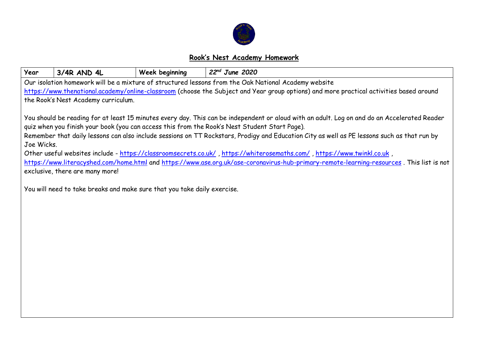

## **Rook's Nest Academy Homework**

| Year                                                                                                                                        | 3/4R AND 4L                                                                                                                               | Week beginning | $22nd$ June 2020                                                                                                                             |  |  |  |  |  |  |
|---------------------------------------------------------------------------------------------------------------------------------------------|-------------------------------------------------------------------------------------------------------------------------------------------|----------------|----------------------------------------------------------------------------------------------------------------------------------------------|--|--|--|--|--|--|
|                                                                                                                                             |                                                                                                                                           |                | Our isolation homework will be a mixture of structured lessons from the Oak National Academy website                                         |  |  |  |  |  |  |
|                                                                                                                                             |                                                                                                                                           |                | https://www.thenational.academy/online-classroom (choose the Subject and Year group options) and more practical activities based around      |  |  |  |  |  |  |
|                                                                                                                                             | the Rook's Nest Academy curriculum.                                                                                                       |                |                                                                                                                                              |  |  |  |  |  |  |
|                                                                                                                                             |                                                                                                                                           |                |                                                                                                                                              |  |  |  |  |  |  |
|                                                                                                                                             |                                                                                                                                           |                | You should be reading for at least 15 minutes every day. This can be independent or aloud with an adult. Log on and do an Accelerated Reader |  |  |  |  |  |  |
|                                                                                                                                             |                                                                                                                                           |                | quiz when you finish your book (you can access this from the Rook's Nest Student Start Page).                                                |  |  |  |  |  |  |
| Remember that daily lessons can also include sessions on TT Rockstars, Prodigy and Education City as well as PE lessons such as that run by |                                                                                                                                           |                |                                                                                                                                              |  |  |  |  |  |  |
| Joe Wicks.                                                                                                                                  |                                                                                                                                           |                |                                                                                                                                              |  |  |  |  |  |  |
|                                                                                                                                             |                                                                                                                                           |                | Other useful websites include - https://classroomsecrets.co.uk/, https://whiterosemaths.com/, https://www.twinkl.co.uk,                      |  |  |  |  |  |  |
|                                                                                                                                             | https://www.literacyshed.com/home.html and https://www.ase.org.uk/ase-coronavirus-hub-primary-remote-learning-resources. This list is not |                |                                                                                                                                              |  |  |  |  |  |  |
|                                                                                                                                             | exclusive, there are many more!                                                                                                           |                |                                                                                                                                              |  |  |  |  |  |  |
|                                                                                                                                             | You will need to take breaks and make sure that you take daily exercise.                                                                  |                |                                                                                                                                              |  |  |  |  |  |  |
|                                                                                                                                             |                                                                                                                                           |                |                                                                                                                                              |  |  |  |  |  |  |
|                                                                                                                                             |                                                                                                                                           |                |                                                                                                                                              |  |  |  |  |  |  |
|                                                                                                                                             |                                                                                                                                           |                |                                                                                                                                              |  |  |  |  |  |  |
|                                                                                                                                             |                                                                                                                                           |                |                                                                                                                                              |  |  |  |  |  |  |
|                                                                                                                                             |                                                                                                                                           |                |                                                                                                                                              |  |  |  |  |  |  |
|                                                                                                                                             |                                                                                                                                           |                |                                                                                                                                              |  |  |  |  |  |  |
|                                                                                                                                             |                                                                                                                                           |                |                                                                                                                                              |  |  |  |  |  |  |
|                                                                                                                                             |                                                                                                                                           |                |                                                                                                                                              |  |  |  |  |  |  |
|                                                                                                                                             |                                                                                                                                           |                |                                                                                                                                              |  |  |  |  |  |  |
|                                                                                                                                             |                                                                                                                                           |                |                                                                                                                                              |  |  |  |  |  |  |
|                                                                                                                                             |                                                                                                                                           |                |                                                                                                                                              |  |  |  |  |  |  |
|                                                                                                                                             |                                                                                                                                           |                |                                                                                                                                              |  |  |  |  |  |  |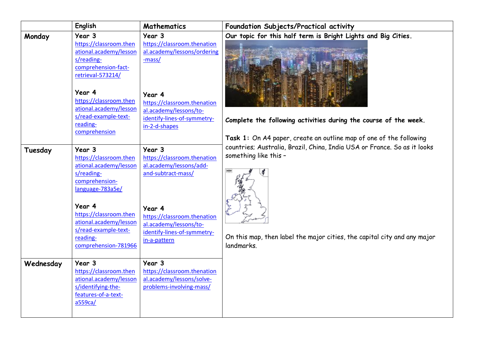|           | English                                        | Mathematics                           | Foundation Subjects/Practical activity                                   |
|-----------|------------------------------------------------|---------------------------------------|--------------------------------------------------------------------------|
| Monday    | Year 3                                         | Year 3                                | Our topic for this half term is Bright Lights and Big Cities.            |
|           | https://classroom.then                         | https://classroom.thenation           |                                                                          |
|           | ational.academy/lesson                         | al.academy/lessons/ordering           |                                                                          |
|           | s/reading-<br>comprehension-fact-              | -mass/                                |                                                                          |
|           | retrieval-573214/                              |                                       |                                                                          |
|           |                                                |                                       |                                                                          |
|           | Year 4                                         | Year 4                                |                                                                          |
|           | https://classroom.then                         | https://classroom.thenation           |                                                                          |
|           | ational.academy/lesson                         | al.academy/lessons/to-                |                                                                          |
|           | s/read-example-text-                           | identify-lines-of-symmetry-           | Complete the following activities during the course of the week.         |
|           | reading-                                       | in-2-d-shapes                         |                                                                          |
|           | comprehension                                  |                                       | Task 1: On A4 paper, create an outline map of one of the following       |
|           |                                                |                                       | countries; Australia, Brazil, China, India USA or France. So as it looks |
| Tuesday   | Year 3<br>https://classroom.then               | Year 3<br>https://classroom.thenation | something like this -                                                    |
|           | ational.academy/lesson                         | al.academy/lessons/add-               |                                                                          |
|           | s/reading-                                     | and-subtract-mass/                    |                                                                          |
|           | comprehension-                                 |                                       |                                                                          |
|           | language-783a5e/                               |                                       |                                                                          |
|           |                                                |                                       |                                                                          |
|           | Year 4                                         | Year 4                                |                                                                          |
|           | https://classroom.then                         | https://classroom.thenation           |                                                                          |
|           | ational.academy/lesson<br>s/read-example-text- | al.academy/lessons/to-                |                                                                          |
|           | reading-                                       | identify-lines-of-symmetry-           | On this map, then label the major cities, the capital city and any major |
|           | comprehension-781966                           | in-a-pattern                          | landmarks.                                                               |
|           |                                                |                                       |                                                                          |
| Wednesday | Year 3                                         | Year 3                                |                                                                          |
|           | https://classroom.then                         | https://classroom.thenation           |                                                                          |
|           | ational.academy/lesson                         | al.academy/lessons/solve-             |                                                                          |
|           | s/identifying-the-                             | problems-involving-mass/              |                                                                          |
|           | features-of-a-text-<br>a559ca/                 |                                       |                                                                          |
|           |                                                |                                       |                                                                          |
|           |                                                |                                       |                                                                          |